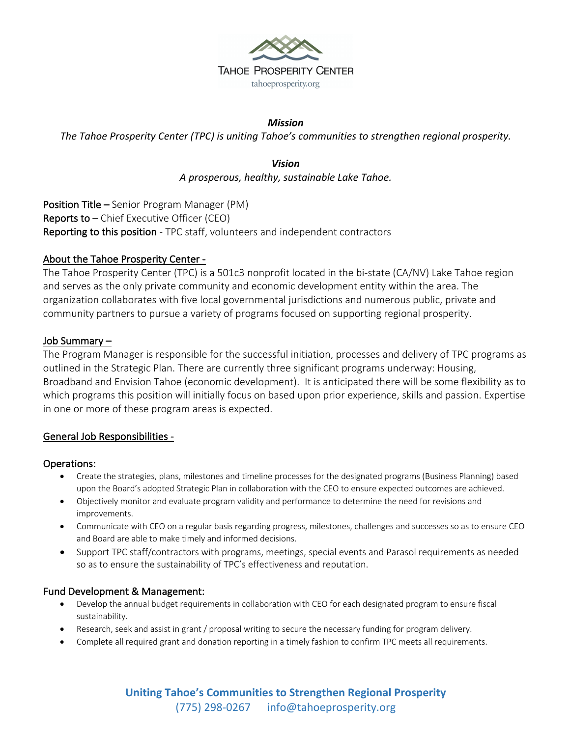

## *Mission*

*The Tahoe Prosperity Center (TPC) is uniting Tahoe's communities to strengthen regional prosperity.* 

*Vision A prosperous, healthy, sustainable Lake Tahoe.*

Position Title – Senior Program Manager (PM) **Reports to**  $-$  Chief Executive Officer (CEO) Reporting to this position - TPC staff, volunteers and independent contractors

## About the Tahoe Prosperity Center -

The Tahoe Prosperity Center (TPC) is a 501c3 nonprofit located in the bi-state (CA/NV) Lake Tahoe region and serves as the only private community and economic development entity within the area. The organization collaborates with five local governmental jurisdictions and numerous public, private and community partners to pursue a variety of programs focused on supporting regional prosperity.

### Job Summary –

The Program Manager is responsible for the successful initiation, processes and delivery of TPC programs as outlined in the Strategic Plan. There are currently three significant programs underway: Housing, Broadband and Envision Tahoe (economic development). It is anticipated there will be some flexibility as to which programs this position will initially focus on based upon prior experience, skills and passion. Expertise in one or more of these program areas is expected.

### General Job Responsibilities -

### Operations:

- Create the strategies, plans, milestones and timeline processes for the designated programs (Business Planning) based upon the Board's adopted Strategic Plan in collaboration with the CEO to ensure expected outcomes are achieved.
- Objectively monitor and evaluate program validity and performance to determine the need for revisions and improvements.
- Communicate with CEO on a regular basis regarding progress, milestones, challenges and successes so as to ensure CEO and Board are able to make timely and informed decisions.
- Support TPC staff/contractors with programs, meetings, special events and Parasol requirements as needed so as to ensure the sustainability of TPC's effectiveness and reputation.

### Fund Development & Management:

- Develop the annual budget requirements in collaboration with CEO for each designated program to ensure fiscal sustainability.
- Research, seek and assist in grant / proposal writing to secure the necessary funding for program delivery.
- Complete all required grant and donation reporting in a timely fashion to confirm TPC meets all requirements.